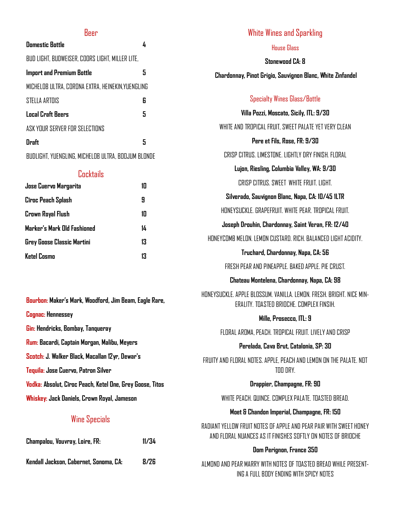### Beer

| <b>Domestic Bottle</b>                           |   |
|--------------------------------------------------|---|
| BUD LIGHT, BUDWEISER, COORS LIGHT, MILLER LITE,  |   |
| <b>Import and Premium Bottle</b>                 | 5 |
| MICHELOB ULTRA, CORONA EXTRA, HEINEKIN,YUENGLING |   |
| STELLA ARTOIS                                    | 6 |
| <b>Local Craft Beers</b>                         | 5 |
| ASK YNLIR SERVER FNR SEI FCTINNS                 |   |
| Draft                                            | 5 |
|                                                  |   |

BUDLIGHT, YUENGLING, MICHELOB ULTRA, BOOJUM BLONDE

### **Cocktails**

| Jose Cuervo Margarita       | 1Π |
|-----------------------------|----|
| Cîroc Peach Splash          | 9  |
| Crown Royal Flush           | 10 |
| Marker's Mark Old Fashioned | 14 |
| Grey Goose Classic Martini  | 13 |
| Ketel Cosmo                 | 13 |

**Bourbon: Maker's Mark, Woodford, Jim Beam, Eagle Rare, Cognac: Hennessey Gin: Hendricks, Bombay, Tanqueray Rum: Bacardi, Captain Morgan, Malibu, Meyers Scotch: J. Walker Black, Macallan 12yr, Dewar's Tequila: Jose Cuervo, Patron Silver Vodka: Absolut, Cîroc Peach, Ketel One, Grey Goose, Titos Whiskey: Jack Daniels, Crown Royal, Jameson**

## Wine Specials

| Champalou, Vouvray, Loire, FR:         | 11/34 |
|----------------------------------------|-------|
| Kendall Jackson, Cabernet, Sonoma, CA: | 8/26  |

| White Wines and Sparkling                                                                                         |
|-------------------------------------------------------------------------------------------------------------------|
| <b>House Glass</b>                                                                                                |
| <b>Stonewood CA: 8</b>                                                                                            |
| Chardonnay, Pinot Grigio, Sauvignon Blanc, White Zinfandel                                                        |
| Specialty Wines Glass/Bottle                                                                                      |
| Villa Pozzi, Moscato, Sicily, ITL: 9/30                                                                           |
| WHITE AND TROPICAL FRUIT. SWEET PALATE YET VERY CLEAN                                                             |
| Pere et Fils, Rose, FR: 9/30                                                                                      |
| CRISP CITRUS, LIMESTONE, LIGHTLY DRY FINISH, FLORAL                                                               |
| Lujon, Riesling, Columbia Valley, WA: 9/30                                                                        |
| CRISP CITRUS, SWEET WHITE FRUIT, LIGHT.                                                                           |
| Silverado, Sauvignon Blanc, Napa, CA: 10/45 1LTR                                                                  |
| HONEYSUCKLE, GRAPEFRUIT, WHITE PEAR, TROPICAL FRUIT,                                                              |
| Joseph Drouhin, Chardonnay, Saint Veran, FR: 12/40                                                                |
| HONFYCOMB MELON, LEMON CUSTARD, RICH, BALANCED LIGHT ACIDITY.                                                     |
| Truchard, Chardonnay, Napa, CA: 56                                                                                |
| FRESH PEAR AND PINEAPPLE. BAKED APPLE. PIE CRUST.                                                                 |
| Chateau Montelena, Chardonnay, Napa, CA: 98                                                                       |
| HONEYSUCKLE. APPLE BLOSSUM. VANILLA. LEMON. FRESH. BRIGHT. NICE MIN-<br>ERALITY. TOASTED BRIOCHE, COMPLEX FINSIH. |
| Mille, Prosecco, ITL: 9                                                                                           |
| FLORAL AROMA, PEACH. TROPICAL FRUIT. LIVELY AND CRISP                                                             |
| Perelada, Cava Brut, Catalonia, SP: 30                                                                            |
| FRUITY AND FLORAL NOTES. APPLE, PEACH AND LEMON ON THE PALATE. NOT<br>TOO DRY.                                    |

**Drappier, Champagne, FR: 90**

WHITE PEACH. QUINCE. COMPLEX PALATE. TOASTED BREAD.

#### **Moet & Chandon Imperial, Champagne, FR: 150**

RADIANT YELLOW FRUIT NOTES OF APPLE AND PEAR PAIR WITH SWEET HONEY AND FLORAL NUANCES AS IT FINISHES SOFTLY ON NOTES OF BRIOCHE

#### **Dom Perignon, France 350**

ALMOND AND PEAR MARRY WITH NOTES OF TOASTED BREAD WHILE PRESENT-ING A FULL BODY ENDING WITH SPICY NOTES